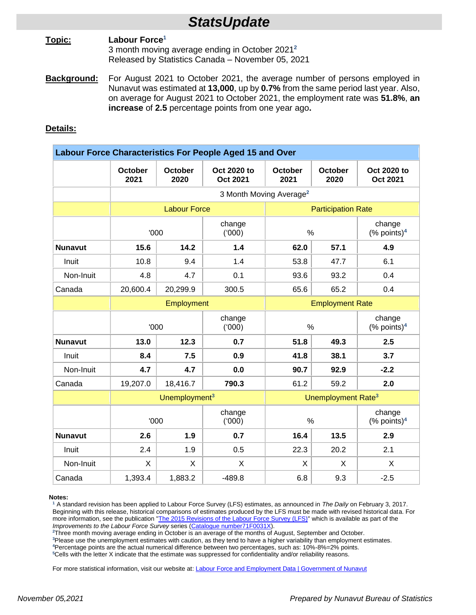# *StatsUpdate*

## **Topic: Labour Force<sup>1</sup>** 3 month moving average ending in October 2021 **2** Released by Statistics Canada – November 05, 2021

**Background:** For August 2021 to October 2021, the average number of persons employed in Nunavut was estimated at **13,000**, up by **0.7%** from the same period last year. Also, on average for August 2021 to October 2021, the employment rate was **51.8%**, **an increase** of **2.5** percentage points from one year ago**.**

# **Details:**

| Labour Force Characteristics For People Aged 15 and Over |                                     |                 |                                |                                |                        |                                      |
|----------------------------------------------------------|-------------------------------------|-----------------|--------------------------------|--------------------------------|------------------------|--------------------------------------|
|                                                          | <b>October</b><br>2021              | October<br>2020 | Oct 2020 to<br><b>Oct 2021</b> | <b>October</b><br>2021         | <b>October</b><br>2020 | Oct 2020 to<br><b>Oct 2021</b>       |
|                                                          | 3 Month Moving Average <sup>2</sup> |                 |                                |                                |                        |                                      |
|                                                          | <b>Labour Force</b>                 |                 |                                | <b>Participation Rate</b>      |                        |                                      |
|                                                          | '000                                |                 | change<br>(000)                | $\%$                           |                        | change<br>$(\%$ points) <sup>4</sup> |
| <b>Nunavut</b>                                           | 15.6                                | 14.2            | 1.4                            | 62.0                           | 57.1                   | 4.9                                  |
| Inuit                                                    | 10.8                                | 9.4             | 1.4                            | 53.8                           | 47.7                   | 6.1                                  |
| Non-Inuit                                                | 4.8                                 | 4.7             | 0.1                            | 93.6                           | 93.2                   | 0.4                                  |
| Canada                                                   | 20,600.4                            | 20,299.9        | 300.5                          | 65.6                           | 65.2                   | 0.4                                  |
|                                                          | Employment                          |                 |                                | <b>Employment Rate</b>         |                        |                                      |
|                                                          | '000                                |                 | change<br>(000)                | $\%$                           |                        | change<br>$(%$ points) <sup>4</sup>  |
| <b>Nunavut</b>                                           | 13.0                                | 12.3            | 0.7                            | 51.8                           | 49.3                   | 2.5                                  |
| Inuit                                                    | 8.4                                 | 7.5             | 0.9                            | 41.8                           | 38.1                   | 3.7                                  |
| Non-Inuit                                                | 4.7                                 | 4.7             | 0.0                            | 90.7                           | 92.9                   | $-2.2$                               |
| Canada                                                   | 19,207.0                            | 18,416.7        | 790.3                          | 61.2                           | 59.2                   | 2.0                                  |
|                                                          | Unemployment <sup>3</sup>           |                 |                                | Unemployment Rate <sup>3</sup> |                        |                                      |
|                                                          | '000                                |                 | change<br>(000)                | $\%$                           |                        | change<br>$(\%$ points) <sup>4</sup> |
| <b>Nunavut</b>                                           | 2.6                                 | 1.9             | 0.7                            | 16.4                           | 13.5                   | 2.9                                  |
| Inuit                                                    | 2.4                                 | 1.9             | 0.5                            | 22.3                           | 20.2                   | 2.1                                  |
| Non-Inuit                                                | X                                   | X               | X                              | X                              | X                      | X                                    |
| Canada                                                   | 1,393.4                             | 1,883.2         | $-489.8$                       | 6.8                            | 9.3                    | $-2.5$                               |

#### **Notes:**

**<sup>1</sup>** A standard revision has been applied to Labour Force Survey (LFS) estimates, as announced in *The Daily* on February 3, 2017. Beginning with this release, historical comparisons of estimates produced by the LFS must be made with revised historical data. For more information, see the publication "The 2015 [Revisions of the Labour Force Survey \(LFS\)"](http://www.statcan.gc.ca/bsolc/olc-cel/olc-cel?catno=71F0031X2015001&lang=eng) which is available as part of the *Improvements to the Labour Force Survey* series [\(Catalogue number71F0031X\)](http://www5.statcan.gc.ca/bsolc/olc-cel/olc-cel?catno=71F0031X&lang=eng).

**<sup>2</sup>**Three month moving average ending in October is an average of the months of August, September and October.

**<sup>3</sup>**Please use the unemployment estimates with caution, as they tend to have a higher variability than employment estimates.

**<sup>4</sup>**Percentage points are the actual numerical difference between two percentages, such as: 10%-8%=2% points.

**<sup>5</sup>**Cells with the letter X indicate that the estimate was suppressed for confidentiality and/or reliability reasons.

For more statistical information, visit our website at: *Labour Force and Employment Data* | Government of Nunavut